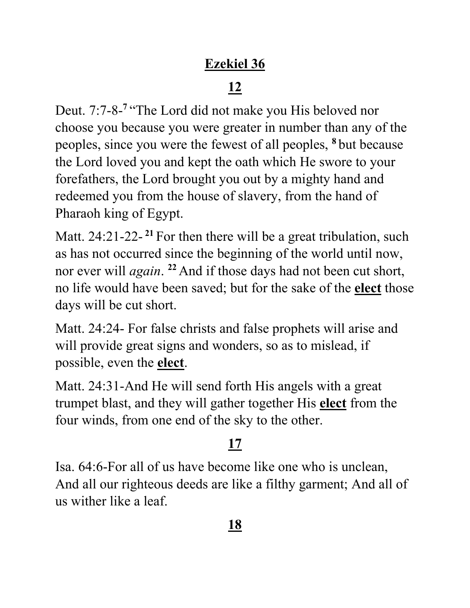### **Ezekiel 36**

# **12**

Deut. 7:7-8-<sup>7</sup> "The Lord did not make you His beloved nor choose you because you were greater in number than any of the peoples, since you were the fewest of all peoples, **<sup>8</sup>** but because the Lord loved you and kept the oath which He swore to your forefathers, the Lord brought you out by a mighty hand and redeemed you from the house of slavery, from the hand of Pharaoh king of Egypt.

Matt. 24:21-22-<sup>21</sup> For then there will be a great tribulation, such as has not occurred since the beginning of the world until now, nor ever will *again*. **<sup>22</sup>** And if those days had not been cut short, no life would have been saved; but for the sake of the **elect** those days will be cut short.

Matt. 24:24- For false christs and false prophets will arise and will provide great signs and wonders, so as to mislead, if possible, even the **elect**.

Matt. 24:31-And He will send forth His angels with a great trumpet blast, and they will gather together His **elect** from the four winds, from one end of the sky to the other.

## **17**

Isa. 64:6-For all of us have become like one who is unclean, And all our righteous deeds are like a filthy garment; And all of us wither like a leaf.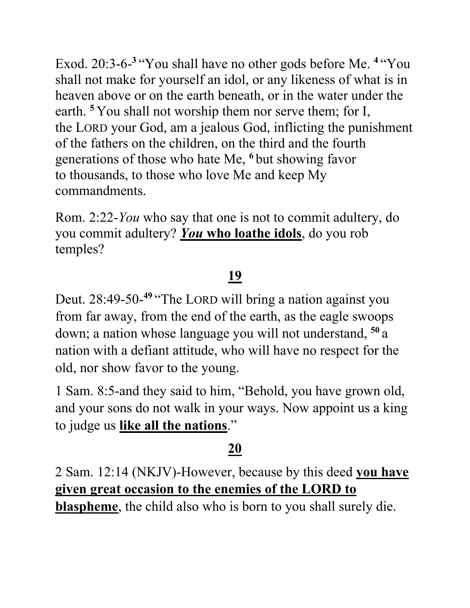Exod. 20:3-6- **<sup>3</sup>** "You shall have no other gods before Me. **<sup>4</sup>** "You shall not make for yourself an idol, or any likeness of what is in heaven above or on the earth beneath, or in the water under the earth. **<sup>5</sup>** You shall not worship them nor serve them; for I, the LORD your God, am a jealous God, inflicting the punishment of the fathers on the children, on the third and the fourth generations of those who hate Me, **<sup>6</sup>** but showing favor to thousands, to those who love Me and keep My commandments.

Rom. 2:22-*You* who say that one is not to commit adultery, do you commit adultery? *You* **who loathe idols**, do you rob temples?

## **19**

Deut. 28:49-50-<sup>49</sup> "The LORD will bring a nation against you from far away, from the end of the earth, as the eagle swoops down; a nation whose language you will not understand, **<sup>50</sup>** a nation with a defiant attitude, who will have no respect for the old, nor show favor to the young.

1 Sam. 8:5-and they said to him, "Behold, you have grown old, and your sons do not walk in your ways. Now appoint us a king to judge us **like all the nations**."

#### **20**

2 Sam. 12:14 (NKJV)-However, because by this deed **you have given great occasion to the enemies of the LORD to blaspheme**, the child also who is born to you shall surely die.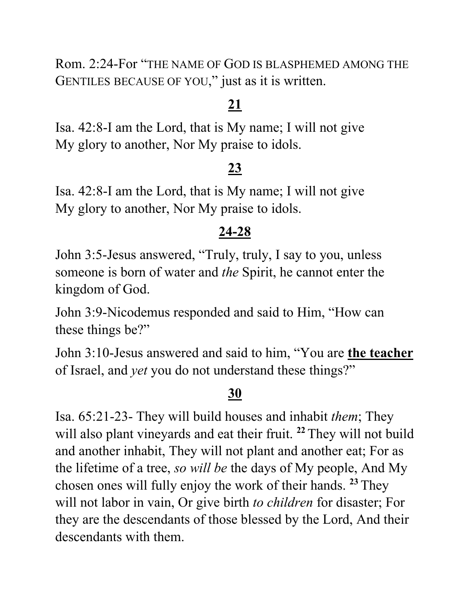Rom. 2:24-For "THE NAME OF GOD IS BLASPHEMED AMONG THE GENTILES BECAUSE OF YOU," just as it is written.

### **21**

Isa. 42:8-I am the Lord, that is My name; I will not give My glory to another, Nor My praise to idols.

#### **23**

Isa. 42:8-I am the Lord, that is My name; I will not give My glory to another, Nor My praise to idols.

#### **24-28**

John 3:5-Jesus answered, "Truly, truly, I say to you, unless someone is born of water and *the* Spirit, he cannot enter the kingdom of God.

John 3:9-Nicodemus responded and said to Him, "How can these things be?"

John 3:10-Jesus answered and said to him, "You are **the teacher** of Israel, and *yet* you do not understand these things?"

#### **30**

Isa. 65:21-23- They will build houses and inhabit *them*; They will also plant vineyards and eat their fruit. **<sup>22</sup>** They will not build and another inhabit, They will not plant and another eat; For as the lifetime of a tree, *so will be* the days of My people, And My chosen ones will fully enjoy the work of their hands. **<sup>23</sup>** They will not labor in vain, Or give birth *to children* for disaster; For they are the descendants of those blessed by the Lord, And their descendants with them.